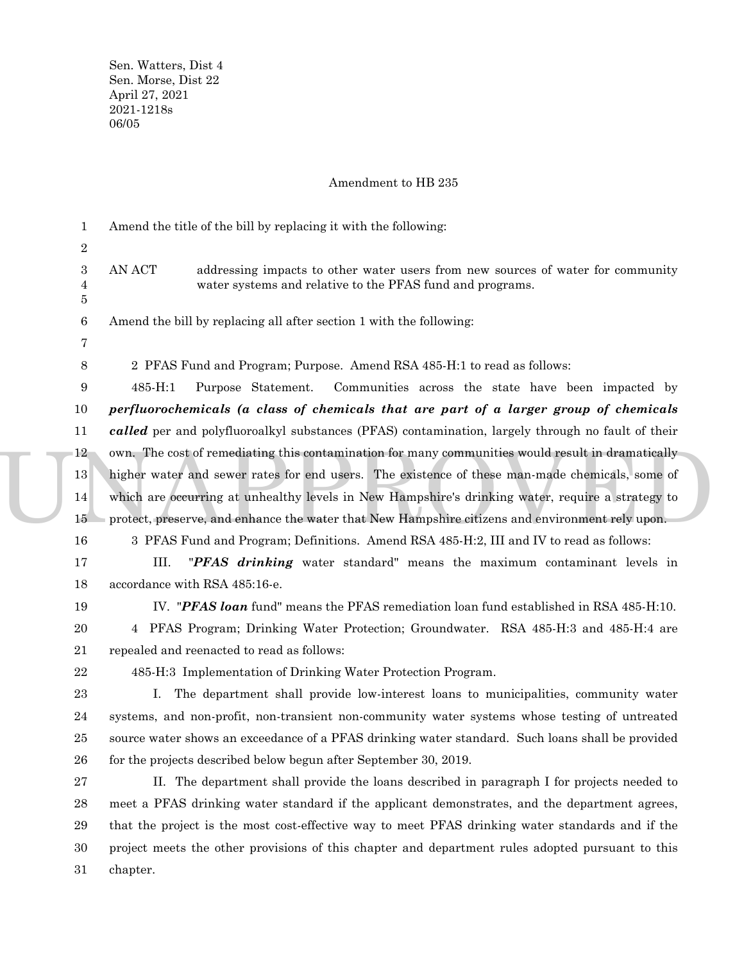Sen. Watters, Dist 4 Sen. Morse, Dist 22 April 27, 2021 2021-1218s 06/05

### Amendment to HB 235

12 own. The cost of remediating this contamination for many communities would result in dramatically<br>higher water and sewer rates for end users. The existence of these man-made chemicals, some of<br>which are occurring at unh Amend the title of the bill by replacing it with the following: AN ACT addressing impacts to other water users from new sources of water for community water systems and relative to the PFAS fund and programs. Amend the bill by replacing all after section 1 with the following: 2 PFAS Fund and Program; Purpose. Amend RSA 485-H:1 to read as follows: 485-H:1 Purpose Statement. Communities across the state have been impacted by *perfluorochemicals (a class of chemicals that are part of a larger group of chemicals called* per and polyfluoroalkyl substances (PFAS) contamination, largely through no fault of their higher water and sewer rates for end users. The existence of these man-made chemicals, some of which are occurring at unhealthy levels in New Hampshire's drinking water, require a strategy to protect, preserve, and enhance the water that New Hampshire citizens and environment rely upon. 3 PFAS Fund and Program; Definitions. Amend RSA 485-H:2, III and IV to read as follows: III. "*PFAS drinking* water standard" means the maximum contaminant levels in accordance with RSA 485:16-e. IV. "*PFAS loan* fund" means the PFAS remediation loan fund established in RSA 485-H:10. 4 PFAS Program; Drinking Water Protection; Groundwater. RSA 485-H:3 and 485-H:4 are repealed and reenacted to read as follows: 485-H:3 Implementation of Drinking Water Protection Program. I. The department shall provide low-interest loans to municipalities, community water systems, and non-profit, non-transient non-community water systems whose testing of untreated source water shows an exceedance of a PFAS drinking water standard. Such loans shall be provided for the projects described below begun after September 30, 2019. II. The department shall provide the loans described in paragraph I for projects needed to meet a PFAS drinking water standard if the applicant demonstrates, and the department agrees, that the project is the most cost-effective way to meet PFAS drinking water standards and if the project meets the other provisions of this chapter and department rules adopted pursuant to this 1 2 3 4 5 6 7 8 9 10 11 12 13 14 15 16 17 18 19 20 21 22 23 24 25 26 27 28 29 30

> chapter. 31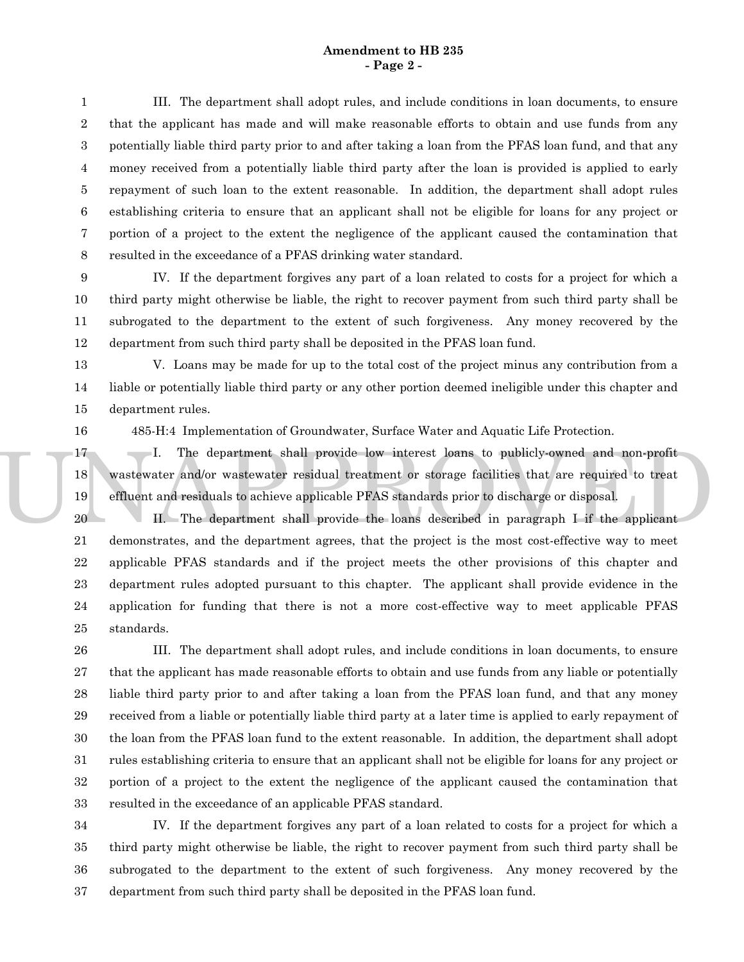## **Amendment to HB 235 - Page 2 -**

III. The department shall adopt rules, and include conditions in loan documents, to ensure that the applicant has made and will make reasonable efforts to obtain and use funds from any potentially liable third party prior to and after taking a loan from the PFAS loan fund, and that any money received from a potentially liable third party after the loan is provided is applied to early repayment of such loan to the extent reasonable. In addition, the department shall adopt rules establishing criteria to ensure that an applicant shall not be eligible for loans for any project or portion of a project to the extent the negligence of the applicant caused the contamination that resulted in the exceedance of a PFAS drinking water standard. 1 2 3 4 5 6 7 8

IV. If the department forgives any part of a loan related to costs for a project for which a third party might otherwise be liable, the right to recover payment from such third party shall be subrogated to the department to the extent of such forgiveness. Any money recovered by the department from such third party shall be deposited in the PFAS loan fund. 9 10 11 12

V. Loans may be made for up to the total cost of the project minus any contribution from a liable or potentially liable third party or any other portion deemed ineligible under this chapter and department rules. 13 14 15

16

485-H:4 Implementation of Groundwater, Surface Water and Aquatic Life Protection.

17 1. The department shall provide low interest loans to publicly-owned and non-profit<br>18 wastewater and/or wastewater residual treatment or storage facilities that are required to treat<br>19 effluent and residuals to achiev I. The department shall provide low interest loans to publicly-owned and non-profit wastewater and/or wastewater residual treatment or storage facilities that are required to treat effluent and residuals to achieve applicable PFAS standards prior to discharge or disposal. 17 18 19

II. The department shall provide the loans described in paragraph I if the applicant demonstrates, and the department agrees, that the project is the most cost-effective way to meet applicable PFAS standards and if the project meets the other provisions of this chapter and department rules adopted pursuant to this chapter. The applicant shall provide evidence in the application for funding that there is not a more cost-effective way to meet applicable PFAS standards. 20 21 22 23 24 25

III. The department shall adopt rules, and include conditions in loan documents, to ensure that the applicant has made reasonable efforts to obtain and use funds from any liable or potentially liable third party prior to and after taking a loan from the PFAS loan fund, and that any money received from a liable or potentially liable third party at a later time is applied to early repayment of the loan from the PFAS loan fund to the extent reasonable. In addition, the department shall adopt rules establishing criteria to ensure that an applicant shall not be eligible for loans for any project or portion of a project to the extent the negligence of the applicant caused the contamination that resulted in the exceedance of an applicable PFAS standard. 26 27 28 29 30 31 32 33

IV. If the department forgives any part of a loan related to costs for a project for which a third party might otherwise be liable, the right to recover payment from such third party shall be subrogated to the department to the extent of such forgiveness. Any money recovered by the department from such third party shall be deposited in the PFAS loan fund. 34 35 36 37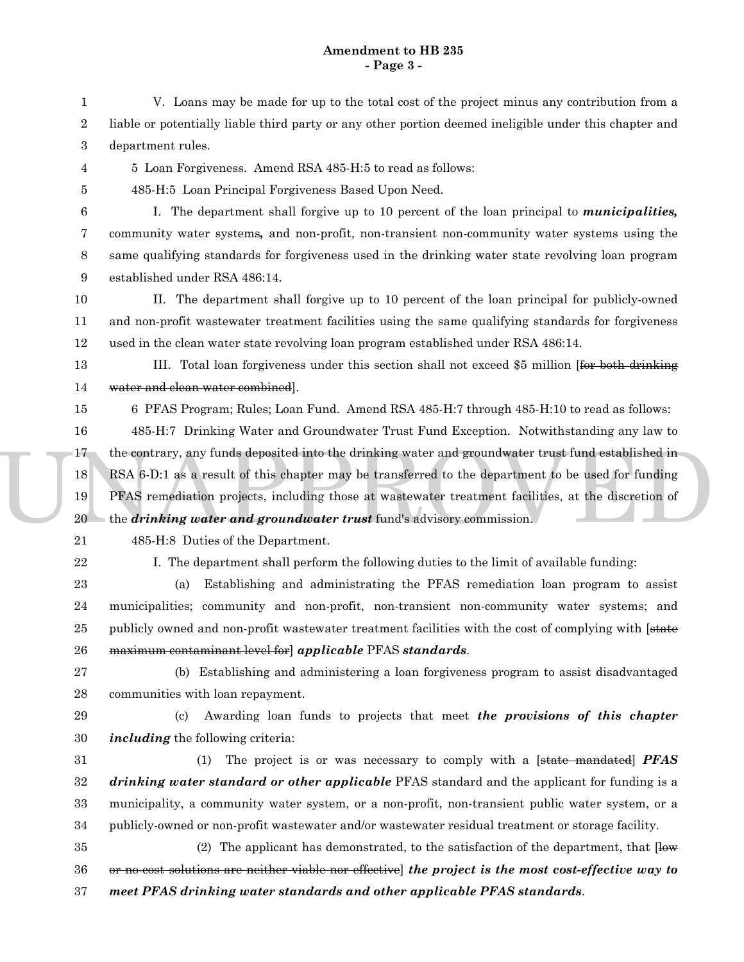# **Amendment to HB 235 - Page 3 -**

V. Loans may be made for up to the total cost of the project minus any contribution from a liable or potentially liable third party or any other portion deemed ineligible under this chapter and department rules. 1 2 3

5 Loan Forgiveness. Amend RSA 485-H:5 to read as follows: 4

5

485-H:5 Loan Principal Forgiveness Based Upon Need.

I. The department shall forgive up to 10 percent of the loan principal to *municipalities,* community water systems*,* and non-profit, non-transient non-community water systems using the same qualifying standards for forgiveness used in the drinking water state revolving loan program established under RSA 486:14. 6 7 8 9

II. The department shall forgive up to 10 percent of the loan principal for publicly-owned and non-profit wastewater treatment facilities using the same qualifying standards for forgiveness used in the clean water state revolving loan program established under RSA 486:14. 10 11 12

- III. Total loan forgiveness under this section shall not exceed \$5 million [for both drinking water and clean water combined]. 13 14
	- 6 PFAS Program; Rules; Loan Fund. Amend RSA 485-H:7 through 485-H:10 to read as follows:

17 the contrary, any funds deposited into the drinking water and groundwater trust fund established in<br>18 RSA 6-D:1 as a result of this chapter may be transferred to the department to be used for funding<br>19 PFAS remediatio 485-H:7 Drinking Water and Groundwater Trust Fund Exception. Notwithstanding any law to RSA 6-D:1 as a result of this chapter may be transferred to the department to be used for funding PFAS remediation projects, including those at wastewater treatment facilities, at the discretion of the *drinking water and groundwater trust* fund's advisory commission. 16 17 18 19 20

21

22

15

485-H:8 Duties of the Department.

I. The department shall perform the following duties to the limit of available funding:

(a) Establishing and administrating the PFAS remediation loan program to assist municipalities; community and non-profit, non-transient non-community water systems; and publicly owned and non-profit wastewater treatment facilities with the cost of complying with [state maximum contaminant level for] *applicable* PFAS *standards*. 23 24 25 26

(b) Establishing and administering a loan forgiveness program to assist disadvantaged communities with loan repayment. 27 28

(c) Awarding loan funds to projects that meet *the provisions of this chapter including* the following criteria: 29 30

(1) The project is or was necessary to comply with a [state mandated] *PFAS drinking water standard or other applicable* PFAS standard and the applicant for funding is a municipality, a community water system, or a non-profit, non-transient public water system, or a publicly-owned or non-profit wastewater and/or wastewater residual treatment or storage facility. 31 32 33 34

(2) The applicant has demonstrated, to the satisfaction of the department, that  $\overline{\text{low}}$ or no-cost solutions are neither viable nor effective] *the project is the most cost-effective way to meet PFAS drinking water standards and other applicable PFAS standards*. 35 36 37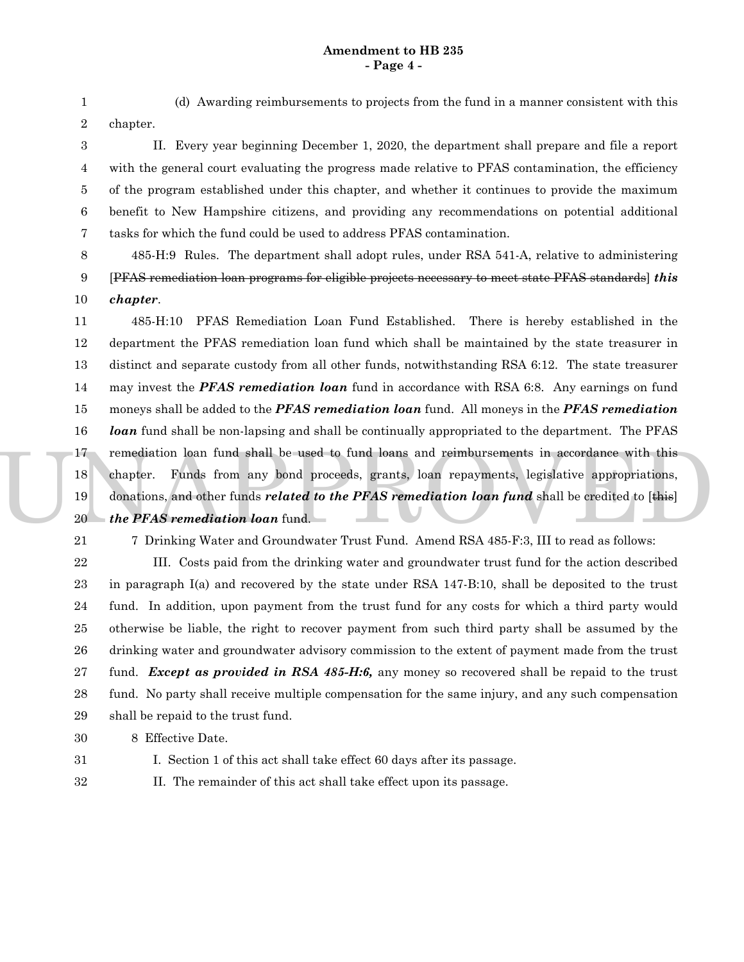# **Amendment to HB 235 - Page 4 -**

1 2

(d) Awarding reimbursements to projects from the fund in a manner consistent with this chapter.

II. Every year beginning December 1, 2020, the department shall prepare and file a report with the general court evaluating the progress made relative to PFAS contamination, the efficiency of the program established under this chapter, and whether it continues to provide the maximum benefit to New Hampshire citizens, and providing any recommendations on potential additional tasks for which the fund could be used to address PFAS contamination. 3 4 5 6 7

485-H:9 Rules. The department shall adopt rules, under RSA 541-A, relative to administering [PFAS remediation loan programs for eligible projects necessary to meet state PFAS standards] *this chapter*. 8 9 10

17 remediation loan fund shall be used to fund loans and reimbursements in accordance with this<br>
18 chapter. Funds from any bond proceeds, grants, loan repayments, legislative appropriations,<br>
19 donations, and other funds 485-H:10 PFAS Remediation Loan Fund Established. There is hereby established in the department the PFAS remediation loan fund which shall be maintained by the state treasurer in distinct and separate custody from all other funds, notwithstanding RSA 6:12. The state treasurer may invest the *PFAS remediation loan* fund in accordance with RSA 6:8. Any earnings on fund moneys shall be added to the *PFAS remediation loan* fund. All moneys in the *PFAS remediation loan* fund shall be non-lapsing and shall be continually appropriated to the department. The PFAS chapter. Funds from any bond proceeds, grants, loan repayments, legislative appropriations, donations, and other funds *related to the PFAS remediation loan fund* shall be credited to [this] *the PFAS remediation loan* fund. 11 12 13 14 15 16 17 18 19 20

21

7 Drinking Water and Groundwater Trust Fund. Amend RSA 485-F:3, III to read as follows:

III. Costs paid from the drinking water and groundwater trust fund for the action described in paragraph I(a) and recovered by the state under RSA 147-B:10, shall be deposited to the trust fund. In addition, upon payment from the trust fund for any costs for which a third party would otherwise be liable, the right to recover payment from such third party shall be assumed by the drinking water and groundwater advisory commission to the extent of payment made from the trust fund. *Except as provided in RSA 485-H:6,* any money so recovered shall be repaid to the trust fund. No party shall receive multiple compensation for the same injury, and any such compensation shall be repaid to the trust fund. 22 23 24 25 26 27 28 29

8 Effective Date. 30

31

I. Section 1 of this act shall take effect 60 days after its passage.

II. The remainder of this act shall take effect upon its passage. 32